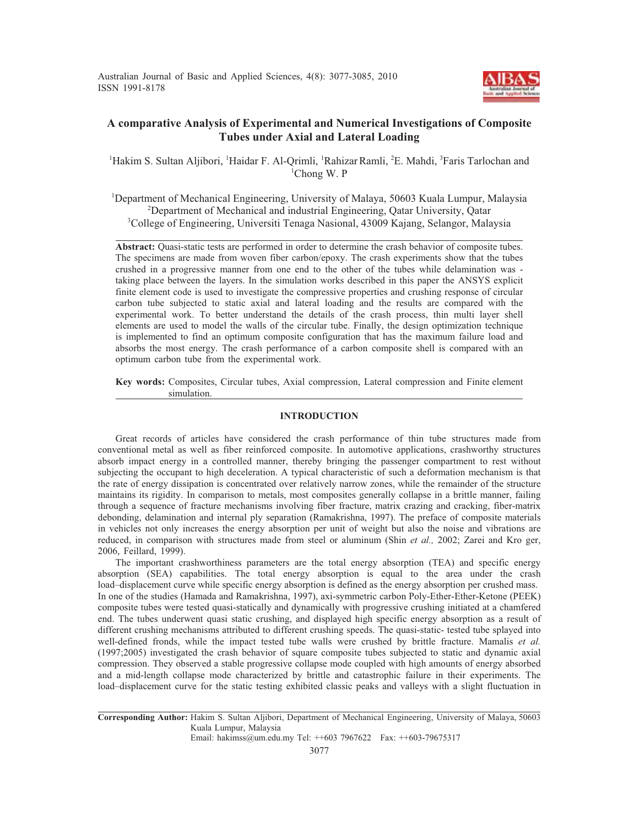

# **A comparative Analysis of Experimental and Numerical Investigations of Composite Tubes under Axial and Lateral Loading**

<sup>1</sup>Hakim S. Sultan Aljibori, <sup>1</sup>Haidar F. Al-Qrimli, <sup>1</sup>Rahizar Ramli, <sup>2</sup>E. Mahdi, <sup>3</sup>Faris Tarlochan and 1 Chong W. P

<sup>1</sup>Department of Mechanical Engineering, University of Malaya, 50603 Kuala Lumpur, Malaysia <sup>2</sup>Department of Mechanical and industrial Engineering, Qatar University, Qatar 3 College of Engineering, Universiti Tenaga Nasional, 43009 Kajang, Selangor, Malaysia

**Abstract:** Quasi-static tests are performed in order to determine the crash behavior of composite tubes. The specimens are made from woven fiber carbon/epoxy. The crash experiments show that the tubes crushed in a progressive manner from one end to the other of the tubes while delamination was taking place between the layers. In the simulation works described in this paper the ANSYS explicit finite element code is used to investigate the compressive properties and crushing response of circular carbon tube subjected to static axial and lateral loading and the results are compared with the experimental work. To better understand the details of the crash process, thin multi layer shell elements are used to model the walls of the circular tube. Finally, the design optimization technique is implemented to find an optimum composite configuration that has the maximum failure load and absorbs the most energy. The crash performance of a carbon composite shell is compared with an optimum carbon tube from the experimental work.

**Key words:** Composites, Circular tubes, Axial compression, Lateral compression and Finite element simulation.

## **INTRODUCTION**

Great records of articles have considered the crash performance of thin tube structures made from conventional metal as well as fiber reinforced composite. In automotive applications, crashworthy structures absorb impact energy in a controlled manner, thereby bringing the passenger compartment to rest without subjecting the occupant to high deceleration. A typical characteristic of such a deformation mechanism is that the rate of energy dissipation is concentrated over relatively narrow zones, while the remainder of the structure maintains its rigidity. In comparison to metals, most composites generally collapse in a brittle manner, failing through a sequence of fracture mechanisms involving fiber fracture, matrix crazing and cracking, fiber-matrix debonding, delamination and internal ply separation (Ramakrishna, 1997). The preface of composite materials in vehicles not only increases the energy absorption per unit of weight but also the noise and vibrations are reduced, in comparison with structures made from steel or aluminum (Shin *et al.,* 2002; Zarei and Kro ger, 2006, Feillard, 1999).

The important crashworthiness parameters are the total energy absorption (TEA) and specific energy absorption (SEA) capabilities. The total energy absorption is equal to the area under the crash load–displacement curve while specific energy absorption is defined as the energy absorption per crushed mass. In one of the studies (Hamada and Ramakrishna, 1997), axi-symmetric carbon Poly-Ether-Ether-Ketone (PEEK) composite tubes were tested quasi-statically and dynamically with progressive crushing initiated at a chamfered end. The tubes underwent quasi static crushing, and displayed high specific energy absorption as a result of different crushing mechanisms attributed to different crushing speeds. The quasi-static- tested tube splayed into well-defined fronds, while the impact tested tube walls were crushed by brittle fracture. Mamalis *et al.* (1997;2005) investigated the crash behavior of square composite tubes subjected to static and dynamic axial compression. They observed a stable progressive collapse mode coupled with high amounts of energy absorbed and a mid-length collapse mode characterized by brittle and catastrophic failure in their experiments. The load–displacement curve for the static testing exhibited classic peaks and valleys with a slight fluctuation in

Email: hakimss@um.edu.my Tel: ++603 7967622 Fax: ++603-79675317

**Corresponding Author:** Hakim S. Sultan Aljibori, Department of Mechanical Engineering, University of Malaya, 50603 Kuala Lumpur, Malaysia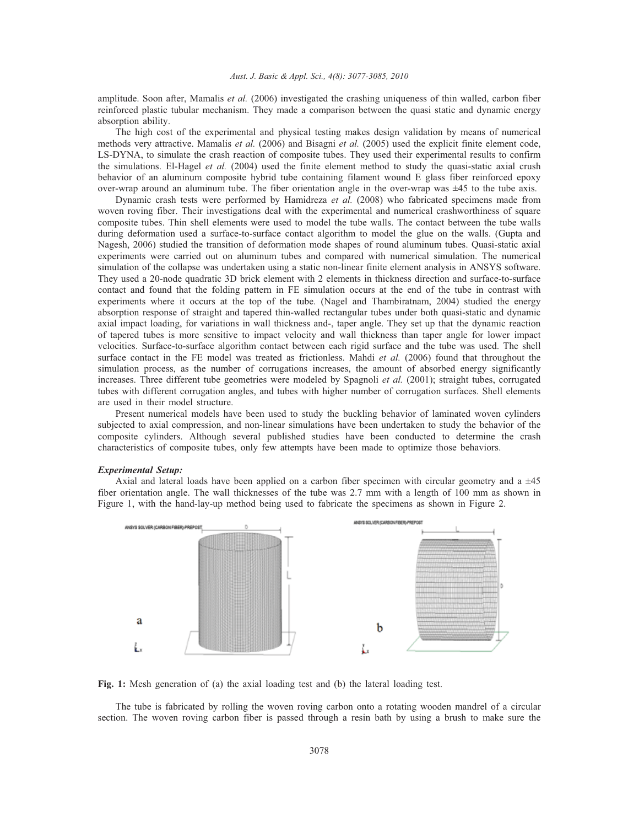amplitude. Soon after, Mamalis *et al.* (2006) investigated the crashing uniqueness of thin walled, carbon fiber reinforced plastic tubular mechanism. They made a comparison between the quasi static and dynamic energy absorption ability.

The high cost of the experimental and physical testing makes design validation by means of numerical methods very attractive. Mamalis *et al.* (2006) and Bisagni *et al.* (2005) used the explicit finite element code, LS-DYNA, to simulate the crash reaction of composite tubes. They used their experimental results to confirm the simulations. El-Hagel *et al.* (2004) used the finite element method to study the quasi-static axial crush behavior of an aluminum composite hybrid tube containing filament wound E glass fiber reinforced epoxy over-wrap around an aluminum tube. The fiber orientation angle in the over-wrap was ±45 to the tube axis.

Dynamic crash tests were performed by Hamidreza *et al.* (2008) who fabricated specimens made from woven roving fiber. Their investigations deal with the experimental and numerical crashworthiness of square composite tubes. Thin shell elements were used to model the tube walls. The contact between the tube walls during deformation used a surface-to-surface contact algorithm to model the glue on the walls. (Gupta and Nagesh, 2006) studied the transition of deformation mode shapes of round aluminum tubes. Quasi-static axial experiments were carried out on aluminum tubes and compared with numerical simulation. The numerical simulation of the collapse was undertaken using a static non-linear finite element analysis in ANSYS software. They used a 20-node quadratic 3D brick element with 2 elements in thickness direction and surface-to-surface contact and found that the folding pattern in FE simulation occurs at the end of the tube in contrast with experiments where it occurs at the top of the tube. (Nagel and Thambiratnam, 2004) studied the energy absorption response of straight and tapered thin-walled rectangular tubes under both quasi-static and dynamic axial impact loading, for variations in wall thickness and-, taper angle. They set up that the dynamic reaction of tapered tubes is more sensitive to impact velocity and wall thickness than taper angle for lower impact velocities. Surface-to-surface algorithm contact between each rigid surface and the tube was used. The shell surface contact in the FE model was treated as frictionless. Mahdi *et al.* (2006) found that throughout the simulation process, as the number of corrugations increases, the amount of absorbed energy significantly increases. Three different tube geometries were modeled by Spagnoli *et al.* (2001); straight tubes, corrugated tubes with different corrugation angles, and tubes with higher number of corrugation surfaces. Shell elements are used in their model structure.

Present numerical models have been used to study the buckling behavior of laminated woven cylinders subjected to axial compression, and non-linear simulations have been undertaken to study the behavior of the composite cylinders. Although several published studies have been conducted to determine the crash characteristics of composite tubes, only few attempts have been made to optimize those behaviors.

#### *Experimental Setup:*

Axial and lateral loads have been applied on a carbon fiber specimen with circular geometry and a  $\pm 45$ fiber orientation angle. The wall thicknesses of the tube was 2.7 mm with a length of 100 mm as shown in Figure 1, with the hand-lay-up method being used to fabricate the specimens as shown in Figure 2.



**Fig. 1:** Mesh generation of (a) the axial loading test and (b) the lateral loading test.

The tube is fabricated by rolling the woven roving carbon onto a rotating wooden mandrel of a circular section. The woven roving carbon fiber is passed through a resin bath by using a brush to make sure the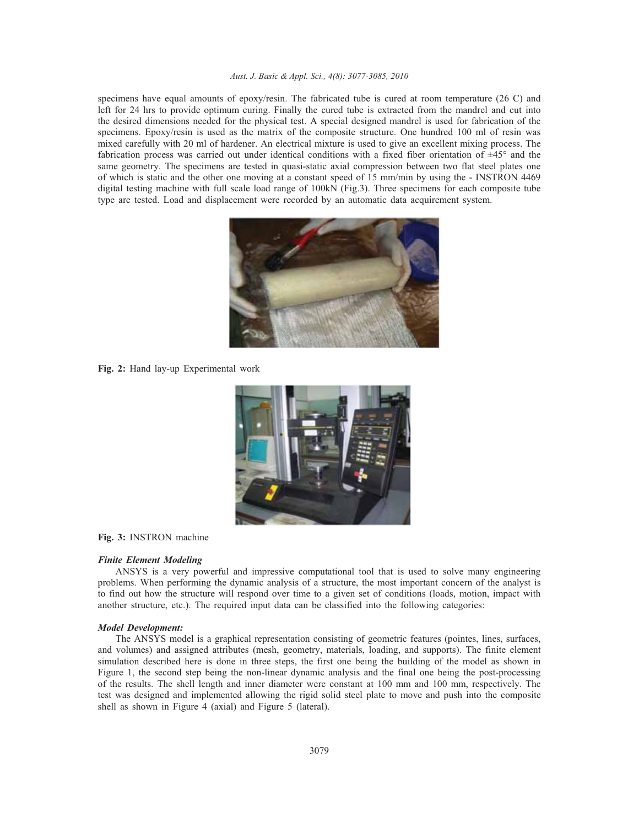specimens have equal amounts of epoxy/resin. The fabricated tube is cured at room temperature (26 C) and left for 24 hrs to provide optimum curing. Finally the cured tube is extracted from the mandrel and cut into the desired dimensions needed for the physical test. A special designed mandrel is used for fabrication of the specimens. Epoxy/resin is used as the matrix of the composite structure. One hundred 100 ml of resin was mixed carefully with 20 ml of hardener. An electrical mixture is used to give an excellent mixing process. The fabrication process was carried out under identical conditions with a fixed fiber orientation of ±45° and the same geometry. The specimens are tested in quasi-static axial compression between two flat steel plates one of which is static and the other one moving at a constant speed of 15 mm/min by using the - INSTRON 4469 digital testing machine with full scale load range of 100kN (Fig.3). Three specimens for each composite tube type are tested. Load and displacement were recorded by an automatic data acquirement system.



**Fig. 2:** Hand lay-up Experimental work



#### **Fig. 3:** INSTRON machine

## *Finite Element Modeling*

ANSYS is a very powerful and impressive computational tool that is used to solve many engineering problems. When performing the dynamic analysis of a structure, the most important concern of the analyst is to find out how the structure will respond over time to a given set of conditions (loads, motion, impact with another structure, etc.). The required input data can be classified into the following categories:

#### *Model Development:*

The ANSYS model is a graphical representation consisting of geometric features (pointes, lines, surfaces, and volumes) and assigned attributes (mesh, geometry, materials, loading, and supports). The finite element simulation described here is done in three steps, the first one being the building of the model as shown in Figure 1, the second step being the non-linear dynamic analysis and the final one being the post-processing of the results. The shell length and inner diameter were constant at 100 mm and 100 mm, respectively. The test was designed and implemented allowing the rigid solid steel plate to move and push into the composite shell as shown in Figure 4 (axial) and Figure 5 (lateral).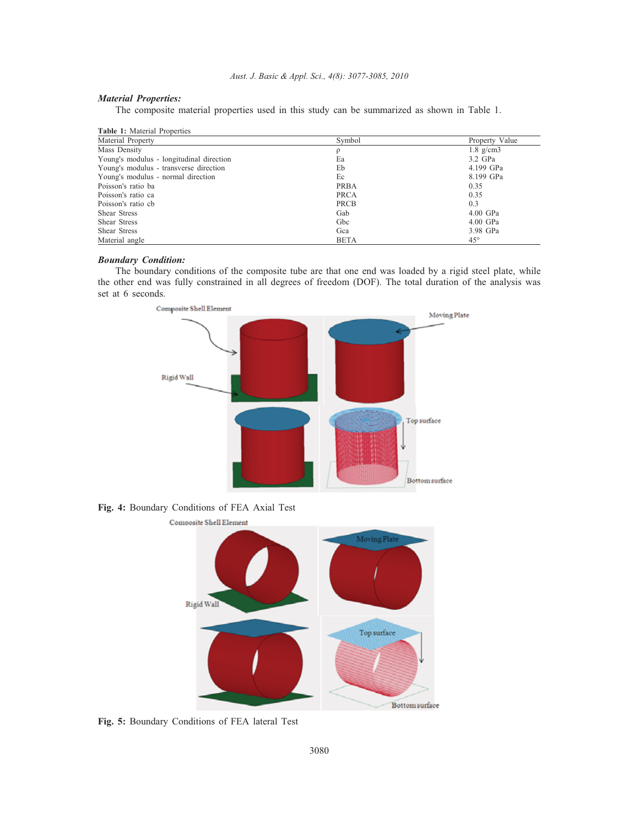# *Material Properties:*

The composite material properties used in this study can be summarized as shown in Table 1.

| <b>Table 1:</b> Material Properties      |             |                      |  |  |  |
|------------------------------------------|-------------|----------------------|--|--|--|
| Material Property                        | Symbol      | Property Value       |  |  |  |
| Mass Density                             | ρ           | $1.8 \text{ g/cm}$ 3 |  |  |  |
| Young's modulus - longitudinal direction | Ea          | 3.2 GPa              |  |  |  |
| Young's modulus - transverse direction   | Eb          | 4.199 GPa            |  |  |  |
| Young's modulus - normal direction       | Ec          | 8.199 GPa            |  |  |  |
| Poisson's ratio ba                       | <b>PRBA</b> | 0.35                 |  |  |  |
| Poisson's ratio ca                       | <b>PRCA</b> | 0.35                 |  |  |  |
| Poisson's ratio cb                       | <b>PRCB</b> | 0.3                  |  |  |  |
| Shear Stress                             | Gab         | $4.00$ GPa           |  |  |  |
| Shear Stress                             | Gbc         | $4.00$ GPa           |  |  |  |
| Shear Stress                             | Gca         | 3.98 GPa             |  |  |  |
| Material angle                           | <b>BETA</b> | $45^{\circ}$         |  |  |  |

# *Boundary Condition:*

The boundary conditions of the composite tube are that one end was loaded by a rigid steel plate, while the other end was fully constrained in all degrees of freedom (DOF). The total duration of the analysis was set at 6 seconds.



**Fig. 4:** Boundary Conditions of FEA Axial Test



**Fig. 5:** Boundary Conditions of FEA lateral Test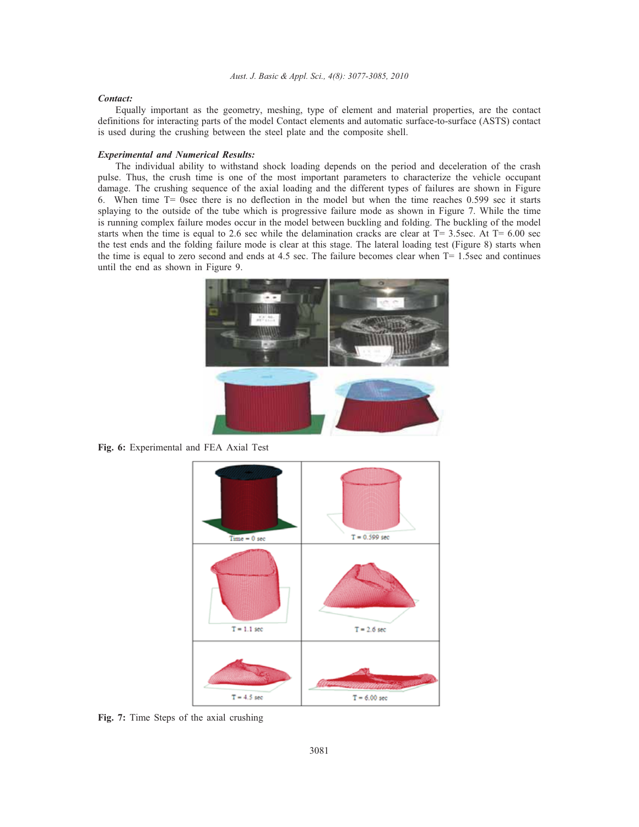#### *Contact:*

Equally important as the geometry, meshing, type of element and material properties, are the contact definitions for interacting parts of the model Contact elements and automatic surface-to-surface (ASTS) contact is used during the crushing between the steel plate and the composite shell.

#### *Experimental and Numerical Results:*

The individual ability to withstand shock loading depends on the period and deceleration of the crash pulse. Thus, the crush time is one of the most important parameters to characterize the vehicle occupant damage. The crushing sequence of the axial loading and the different types of failures are shown in Figure 6. When time T= 0sec there is no deflection in the model but when the time reaches 0.599 sec it starts splaying to the outside of the tube which is progressive failure mode as shown in Figure 7. While the time is running complex failure modes occur in the model between buckling and folding. The buckling of the model starts when the time is equal to 2.6 sec while the delamination cracks are clear at  $T= 3.5$ sec. At  $T= 6.00$  sec the test ends and the folding failure mode is clear at this stage. The lateral loading test (Figure 8) starts when the time is equal to zero second and ends at 4.5 sec. The failure becomes clear when T= 1.5sec and continues until the end as shown in Figure 9.



**Fig. 6:** Experimental and FEA Axial Test



**Fig. 7:** Time Steps of the axial crushing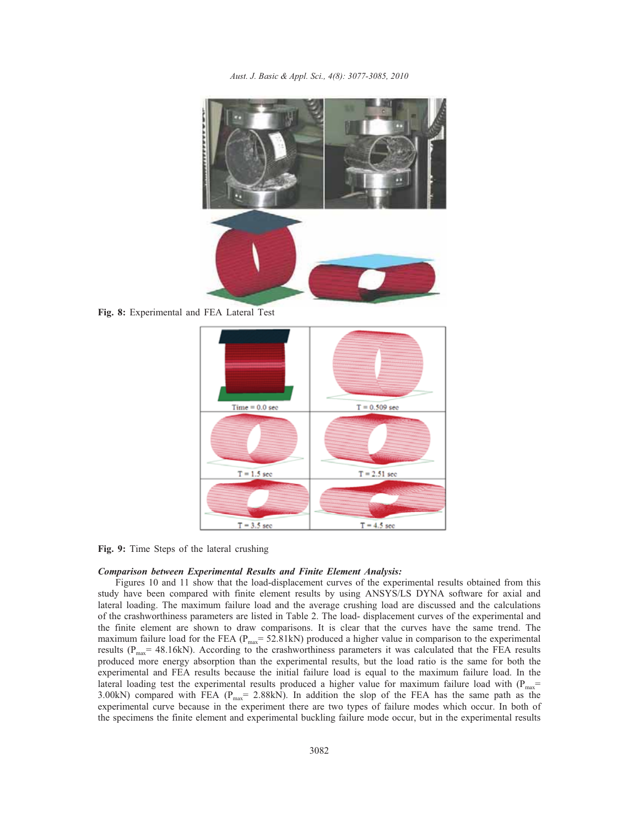

**Fig. 8:** Experimental and FEA Lateral Test



**Fig. 9:** Time Steps of the lateral crushing

#### *Comparison between Experimental Results and Finite Element Analysis:*

Figures 10 and 11 show that the load-displacement curves of the experimental results obtained from this study have been compared with finite element results by using ANSYS/LS DYNA software for axial and lateral loading. The maximum failure load and the average crushing load are discussed and the calculations of the crashworthiness parameters are listed in Table 2. The load- displacement curves of the experimental and the finite element are shown to draw comparisons. It is clear that the curves have the same trend. The maximum failure load for the FEA ( $P_{max}$ = 52.81kN) produced a higher value in comparison to the experimental results ( $P_{\text{max}}$ = 48.16kN). According to the crashworthiness parameters it was calculated that the FEA results produced more energy absorption than the experimental results, but the load ratio is the same for both the experimental and FEA results because the initial failure load is equal to the maximum failure load. In the lateral loading test the experimental results produced a higher value for maximum failure load with ( $P_{max}$ = 3.00kN) compared with FEA ( $P_{\text{max}}$  = 2.88kN). In addition the slop of the FEA has the same path as the experimental curve because in the experiment there are two types of failure modes which occur. In both of the specimens the finite element and experimental buckling failure mode occur, but in the experimental results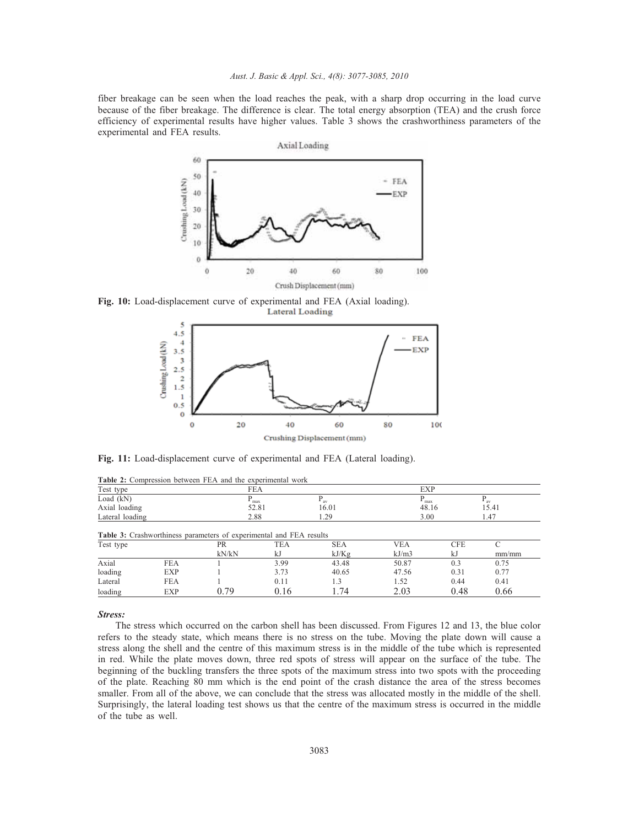fiber breakage can be seen when the load reaches the peak, with a sharp drop occurring in the load curve because of the fiber breakage. The difference is clear. The total energy absorption (TEA) and the crush force efficiency of experimental results have higher values. Table 3 shows the crashworthiness parameters of the experimental and FEA results.



**Fig. 10:** Load-displacement curve of experimental and FEA (Axial loading). **Lateral Loading** 



**Fig. 11:** Load-displacement curve of experimental and FEA (Lateral loading).

|                 | <b>Table 2:</b> Compression between FEA and the experimental work          |                    |                  |                     |                     |                  |            |  |
|-----------------|----------------------------------------------------------------------------|--------------------|------------------|---------------------|---------------------|------------------|------------|--|
| Test type       |                                                                            |                    | <b>FEA</b>       |                     |                     | <b>EXP</b>       |            |  |
| Load $(kN)$     |                                                                            | $P_{max}$          |                  | $P_{av}$            | $P_{max}$           |                  | $P_{av}$   |  |
| Axial loading   |                                                                            |                    | 52.81            | 16.01               | 48.16               |                  | 15.41      |  |
| Lateral loading |                                                                            | 2.88               |                  | 1.29                | 1.47<br>3.00        |                  |            |  |
| Test type       | <b>Table 3:</b> Crashworthiness parameters of experimental and FEA results | <b>PR</b><br>kN/kN | <b>TEA</b><br>kJ | <b>SEA</b><br>kJ/Kg | <b>VEA</b><br>kJ/m3 | <b>CFE</b><br>kJ | C<br>mm/mm |  |
| Axial           | <b>FEA</b>                                                                 |                    | 3.99             | 43.48               | 50.87               | 0.3              | 0.75       |  |
| loading         | <b>EXP</b>                                                                 |                    | 3.73             | 40.65               | 47.56               | 0.31             | 0.77       |  |
| Lateral         | <b>FEA</b>                                                                 |                    | 0.11             | 1.3                 | 1.52                | 0.44             | 0.41       |  |
| loading         | <b>EXP</b>                                                                 | 0.79               | 0.16             | 1.74                | 2.03                | 0.48             | 0.66       |  |

#### *Stress:*

The stress which occurred on the carbon shell has been discussed. From Figures 12 and 13, the blue color refers to the steady state, which means there is no stress on the tube. Moving the plate down will cause a stress along the shell and the centre of this maximum stress is in the middle of the tube which is represented in red. While the plate moves down, three red spots of stress will appear on the surface of the tube. The beginning of the buckling transfers the three spots of the maximum stress into two spots with the proceeding of the plate. Reaching 80 mm which is the end point of the crash distance the area of the stress becomes smaller. From all of the above, we can conclude that the stress was allocated mostly in the middle of the shell. Surprisingly, the lateral loading test shows us that the centre of the maximum stress is occurred in the middle of the tube as well.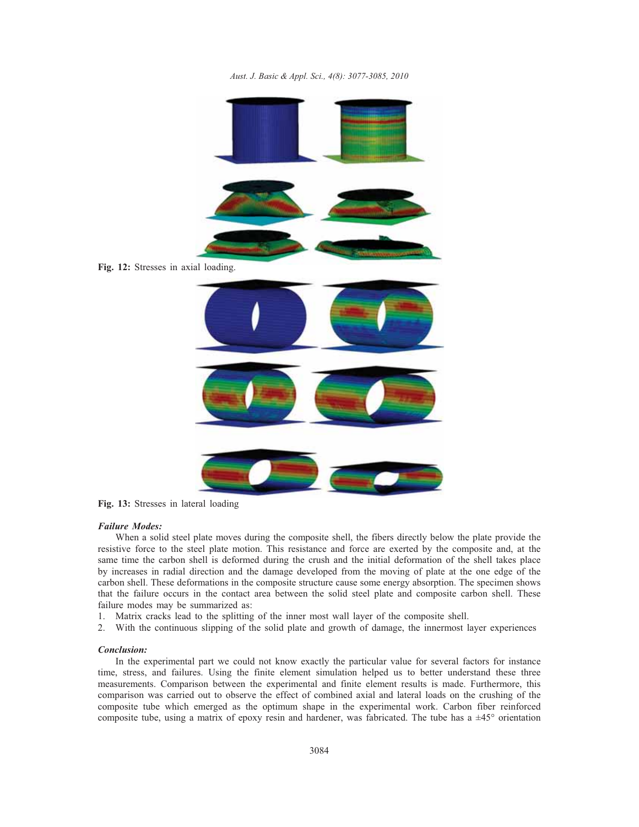*Aust. J. Basic & Appl. Sci., 4(8): 3077-3085, 2010*



**Fig. 13:** Stresses in lateral loading

#### *Failure Modes:*

When a solid steel plate moves during the composite shell, the fibers directly below the plate provide the resistive force to the steel plate motion. This resistance and force are exerted by the composite and, at the same time the carbon shell is deformed during the crush and the initial deformation of the shell takes place by increases in radial direction and the damage developed from the moving of plate at the one edge of the carbon shell. These deformations in the composite structure cause some energy absorption. The specimen shows that the failure occurs in the contact area between the solid steel plate and composite carbon shell. These failure modes may be summarized as:

- 1. Matrix cracks lead to the splitting of the inner most wall layer of the composite shell.
- 2. With the continuous slipping of the solid plate and growth of damage, the innermost layer experiences

#### *Conclusion:*

In the experimental part we could not know exactly the particular value for several factors for instance time, stress, and failures. Using the finite element simulation helped us to better understand these three measurements. Comparison between the experimental and finite element results is made. Furthermore, this comparison was carried out to observe the effect of combined axial and lateral loads on the crushing of the composite tube which emerged as the optimum shape in the experimental work. Carbon fiber reinforced composite tube, using a matrix of epoxy resin and hardener, was fabricated. The tube has a  $\pm 45^\circ$  orientation